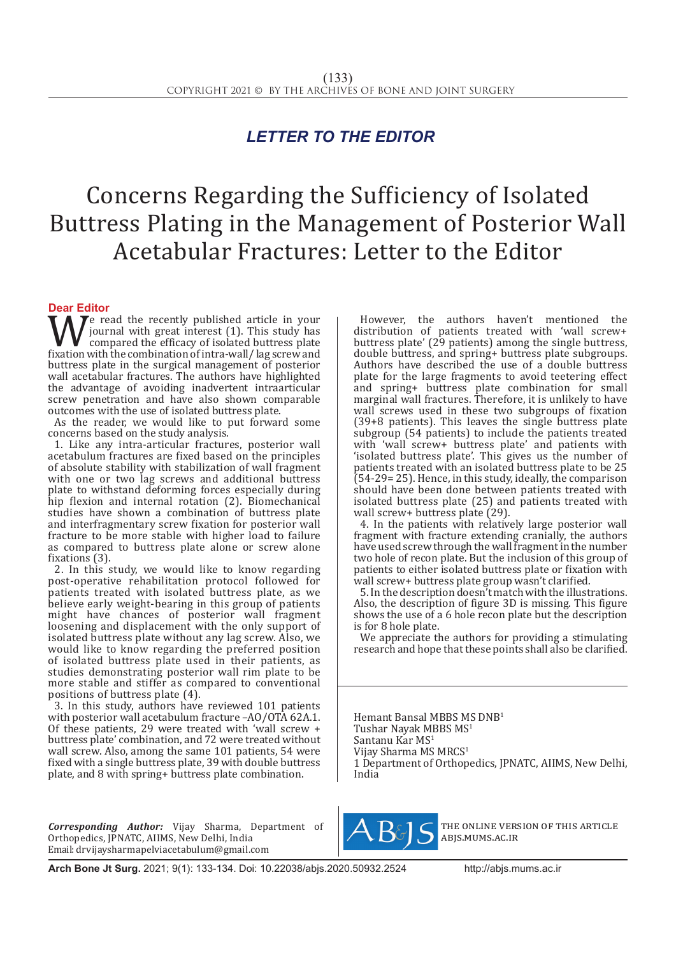## *LETTER TO THE EDITOR*

## Concerns Regarding the Sufficiency of Isolated Buttress Plating in the Management of Posterior Wall Acetabular Fractures: Letter to the Editor

## **Dear Editor**

We read the recently published article in your<br>compared the efficacy of isolated buttress plate<br>fixation with the combination of intra-wall/lag screw and<br>huttress plate in the surgical management of posterior journal with great interest (1). This study has compared the efficacy of isolated buttress plate fixation with the combination of intra-wall/lag screw and buttress plate in the surgical management of posterior wall acetabular fractures. The authors have highlighted the advantage of avoiding inadvertent intraarticular screw penetration and have also shown comparable outcomes with the use of isolated buttress plate.

As the reader, we would like to put forward some concerns based on the study analysis.

1. Like any intra-articular fractures, posterior wall acetabulum fractures are fixed based on the principles of absolute stability with stabilization of wall fragment with one or two lag screws and additional buttress plate to withstand deforming forces especially during hip flexion and internal rotation (2). Biomechanical studies have shown a combination of buttress plate and interfragmentary screw fixation for posterior wall fracture to be more stable with higher load to failure as compared to buttress plate alone or screw alone fixations (3).

2. In this study, we would like to know regarding post-operative rehabilitation protocol followed for patients treated with isolated buttress plate, as we believe early weight-bearing in this group of patients might have chances of posterior wall fragment loosening and displacement with the only support of isolated buttress plate without any lag screw. Also, we would like to know regarding the preferred position of isolated buttress plate used in their patients, as studies demonstrating posterior wall rim plate to be more stable and stiffer as compared to conventional positions of buttress plate (4).

3. In this study, authors have reviewed 101 patients with posterior wall acetabulum fracture -AO/OTA 62A.1. Of these patients, 29 were treated with 'wall screw + buttress plate' combination, and 72 were treated without wall screw. Also, among the same 101 patients, 54 were fixed with a single buttress plate, 39 with double buttress plate, and 8 with spring+ buttress plate combination.

*Corresponding Author:* Vijay Sharma, Department of Orthopedics, JPNATC, AIIMS, New Delhi, India Email: drvijaysharmapelviacetabulum@gmail.com

However, the authors haven't mentioned the distribution of patients treated with 'wall screw+ buttress plate' (29 patients) among the single buttress, double buttress, and spring+ buttress plate subgroups. Authors have described the use of a double buttress plate for the large fragments to avoid teetering effect and spring+ buttress plate combination for small marginal wall fractures. Therefore, it is unlikely to have wall screws used in these two subgroups of fixation (39+8 patients). This leaves the single buttress plate subgroup (54 patients) to include the patients treated with 'wall screw+ buttress plate' and patients with 'isolated buttress plate'. This gives us the number of patients treated with an isolated buttress plate to be 25 (54-29= 25). Hence, in this study, ideally, the comparison should have been done between patients treated with isolated buttress plate (25) and patients treated with wall screw+ buttress plate (29).

4. In the patients with relatively large posterior wall fragment with fracture extending cranially, the authors have used screw through the wall fragment in the number two hole of recon plate. But the inclusion of this group of patients to either isolated buttress plate or fixation with wall screw+ buttress plate group wasn't clarified.

5. In the description doesn't match with the illustrations. Also, the description of figure 3D is missing. This figure shows the use of a 6 hole recon plate but the description is for 8 hole plate.

We appreciate the authors for providing a stimulating research and hope that these points shall also be clarified.

Hemant Bansal MBBS MS DNB<sup>1</sup> Tushar Nayak MBBS MS<sup>1</sup> Santanu Kar MS<sup>1</sup> Vijay Sharma MS MRCS<sup>1</sup> 1 Department of Orthopedics, JPNATC, AIIMS, New Delhi, India



the online version of this article abjs.mums.ac.ir

**Arch Bone Jt Surg.** 2021; 9(1): 133-134. Doi: 10.22038/abjs.2020.50932.2524http://abjs.mums.ac.ir